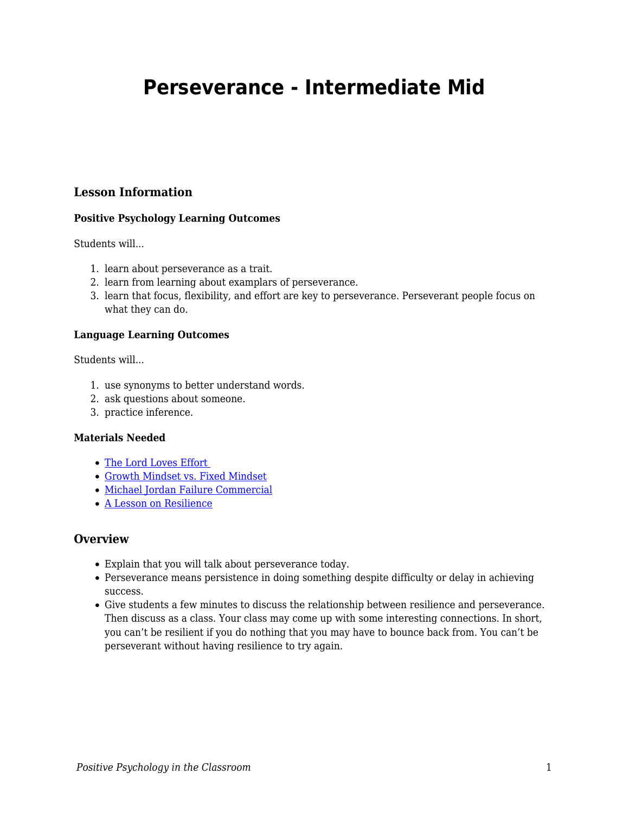# **Perseverance - Intermediate Mid**

# **Lesson Information**

## **Positive Psychology Learning Outcomes**

Students will...

- 1. learn about perseverance as a trait.
- 2. learn from learning about examplars of perseverance.
- 3. learn that focus, flexibility, and effort are key to perseverance. Perseverant people focus on what they can do.

#### **Language Learning Outcomes**

Students will...

- 1. use synonyms to better understand words.
- 2. ask questions about someone.
- 3. practice inference.

#### **Materials Needed**

- The Lord Loves Effort
- [Growth Mindset vs. Fixed Mindset](https://www.youtube.com/watch?v=KUWn_TJTrnU)
- [Michael Jordan Failure Commercial](https://www.youtube.com/watch?v=JA7G7AV-LT8)
- [A Lesson on Resilience](https://www.youtube.com/watch?v=sKpBJjsZ7EE)

## **Overview**

- Explain that you will talk about perseverance today.
- Perseverance means persistence in doing something despite difficulty or delay in achieving success.
- Give students a few minutes to discuss the relationship between resilience and perseverance. Then discuss as a class. Your class may come up with some interesting connections. In short, you can't be resilient if you do nothing that you may have to bounce back from. You can't be perseverant without having resilience to try again.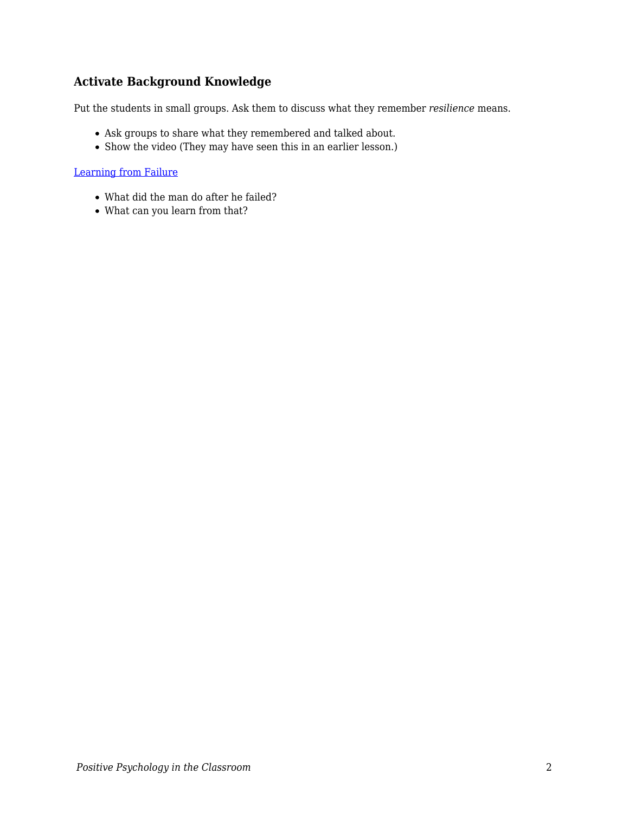# **Activate Background Knowledge**

Put the students in small groups. Ask them to discuss what they remember *resilience* means.

- Ask groups to share what they remembered and talked about.
- Show the video (They may have seen this in an earlier lesson.)

### [Learning from Failure](https://www.youtube.com/watch?v=MQx39z99_Js)

- What did the man do after he failed?
- What can you learn from that?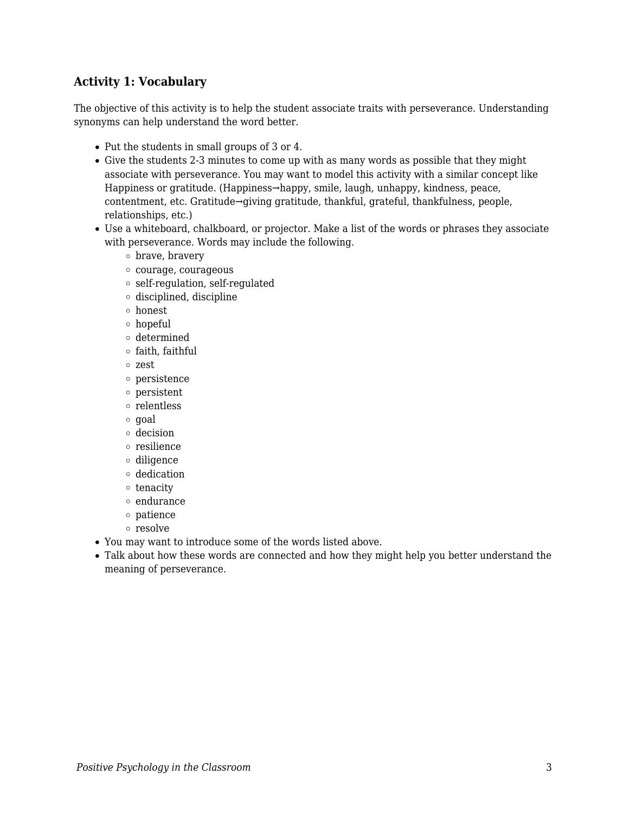# **Activity 1: Vocabulary**

The objective of this activity is to help the student associate traits with perseverance. Understanding synonyms can help understand the word better.

- Put the students in small groups of 3 or 4.
- Give the students 2-3 minutes to come up with as many words as possible that they might associate with perseverance. You may want to model this activity with a similar concept like Happiness or gratitude. (Happiness→happy, smile, laugh, unhappy, kindness, peace, contentment, etc. Gratitude→giving gratitude, thankful, grateful, thankfulness, people, relationships, etc.)
- Use a whiteboard, chalkboard, or projector. Make a list of the words or phrases they associate with perseverance. Words may include the following.
	- brave, bravery
	- courage, courageous
	- self-regulation, self-regulated
	- disciplined, discipline
	- honest
	- hopeful
	- determined
	- $\circ$  faith, faithful
	- zest
	- o persistence
	- persistent
	- $\circ$  relentless
	- $\circ$  goal
	- decision
	- $\circ$  resilience
	- diligence
	- $\circ$  dedication
	- $\circ$  tenacity
	- endurance
	- $\circ$  patience
	- o resolve
- You may want to introduce some of the words listed above.
- Talk about how these words are connected and how they might help you better understand the meaning of perseverance.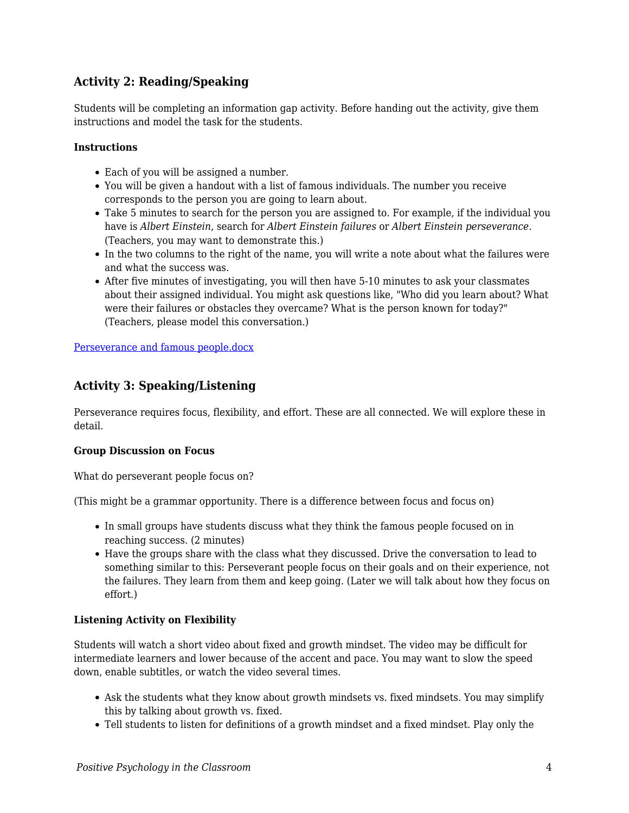# **Activity 2: Reading/Speaking**

Students will be completing an information gap activity. Before handing out the activity, give them instructions and model the task for the students.

## **Instructions**

- Each of you will be assigned a number.
- You will be given a handout with a list of famous individuals. The number you receive corresponds to the person you are going to learn about.
- Take 5 minutes to search for the person you are assigned to. For example, if the individual you have is *Albert Einstein*, search for *Albert Einstein failures* or *Albert Einstein perseverance*. (Teachers, you may want to demonstrate this.)
- In the two columns to the right of the name, you will write a note about what the failures were and what the success was.
- After five minutes of investigating, you will then have 5-10 minutes to ask your classmates about their assigned individual. You might ask questions like, "Who did you learn about? What were their failures or obstacles they overcame? What is the person known for today?" (Teachers, please model this conversation.)

[Perseverance and famous people.docx](https://s3-us-west-2.amazonaws.com/secure.notion-static.com/0cec5cf8-c1ca-4142-b5c9-847fb9a22715/Perseverance_and_famous_people.docx)

# **Activity 3: Speaking/Listening**

Perseverance requires focus, flexibility, and effort. These are all connected. We will explore these in detail.

## **Group Discussion on Focus**

What do perseverant people focus on?

(This might be a grammar opportunity. There is a difference between focus and focus on)

- In small groups have students discuss what they think the famous people focused on in reaching success. (2 minutes)
- Have the groups share with the class what they discussed. Drive the conversation to lead to something similar to this: Perseverant people focus on their goals and on their experience, not the failures. They learn from them and keep going. (Later we will talk about how they focus on effort.)

## **Listening Activity on Flexibility**

Students will watch a short video about fixed and growth mindset. The video may be difficult for intermediate learners and lower because of the accent and pace. You may want to slow the speed down, enable subtitles, or watch the video several times.

- Ask the students what they know about growth mindsets vs. fixed mindsets. You may simplify this by talking about growth vs. fixed.
- Tell students to listen for definitions of a growth mindset and a fixed mindset. Play only the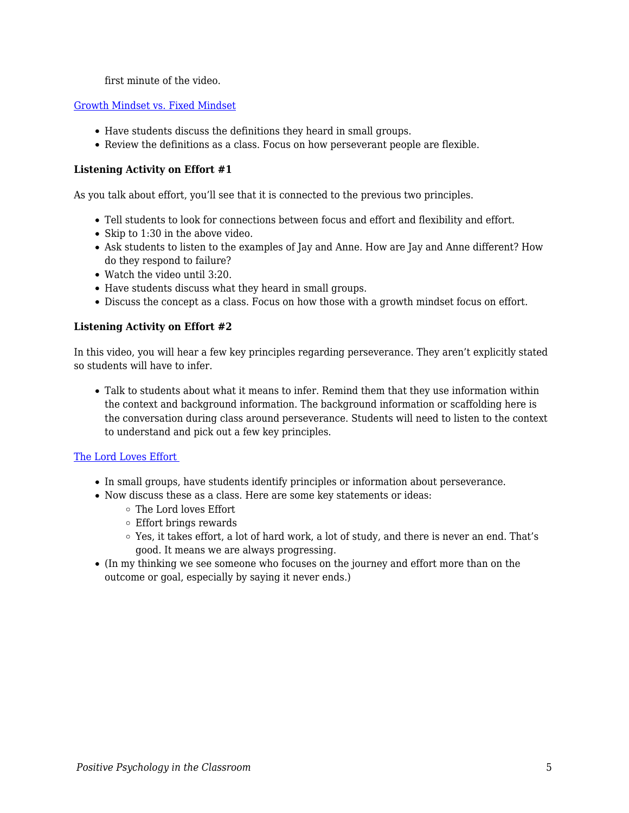first minute of the video.

#### [Growth Mindset vs. Fixed Mindset](https://www.youtube.com/watch?v=KUWn_TJTrnU)

- Have students discuss the definitions they heard in small groups.
- Review the definitions as a class. Focus on how perseverant people are flexible.

#### **Listening Activity on Effort #1**

As you talk about effort, you'll see that it is connected to the previous two principles.

- Tell students to look for connections between focus and effort and flexibility and effort.
- Skip to 1:30 in the above video.
- Ask students to listen to the examples of Jay and Anne. How are Jay and Anne different? How do they respond to failure?
- Watch the video until 3:20.
- Have students discuss what they heard in small groups.
- Discuss the concept as a class. Focus on how those with a growth mindset focus on effort.

#### **Listening Activity on Effort #2**

In this video, you will hear a few key principles regarding perseverance. They aren't explicitly stated so students will have to infer.

Talk to students about what it means to infer. Remind them that they use information within the context and background information. The background information or scaffolding here is the conversation during class around perseverance. Students will need to listen to the context to understand and pick out a few key principles.

#### [The Lord Loves Effort](https://www.youtube.com/watch?v=c7OhT6jsvZQ)

- In small groups, have students identify principles or information about perseverance.
- Now discuss these as a class. Here are some key statements or ideas:
	- The Lord loves Effort
	- Effort brings rewards
	- Yes, it takes effort, a lot of hard work, a lot of study, and there is never an end. That's good. It means we are always progressing.
- (In my thinking we see someone who focuses on the journey and effort more than on the outcome or goal, especially by saying it never ends.)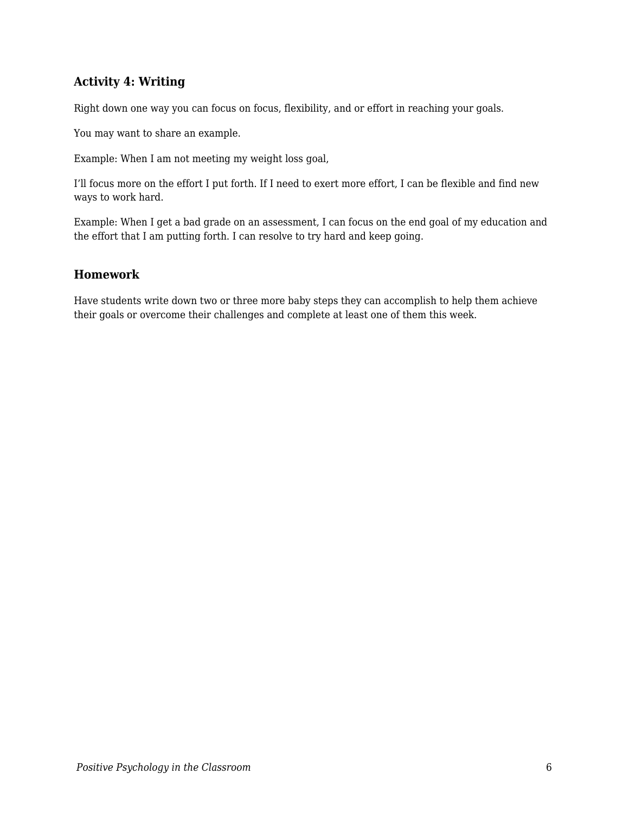# **Activity 4: Writing**

Right down one way you can focus on focus, flexibility, and or effort in reaching your goals.

You may want to share an example.

Example: When I am not meeting my weight loss goal,

I'll focus more on the effort I put forth. If I need to exert more effort, I can be flexible and find new ways to work hard.

Example: When I get a bad grade on an assessment, I can focus on the end goal of my education and the effort that I am putting forth. I can resolve to try hard and keep going.

# **Homework**

Have students write down two or three more baby steps they can accomplish to help them achieve their goals or overcome their challenges and complete at least one of them this week.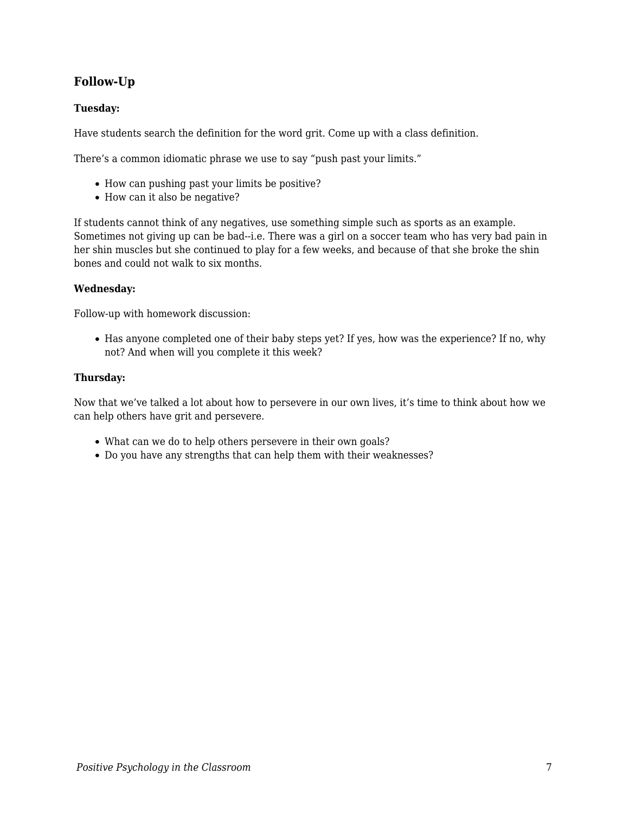# **Follow-Up**

## **Tuesday:**

Have students search the definition for the word grit. Come up with a class definition.

There's a common idiomatic phrase we use to say "push past your limits."

- How can pushing past your limits be positive?
- How can it also be negative?

If students cannot think of any negatives, use something simple such as sports as an example. Sometimes not giving up can be bad--i.e. There was a girl on a soccer team who has very bad pain in her shin muscles but she continued to play for a few weeks, and because of that she broke the shin bones and could not walk to six months.

#### **Wednesday:**

Follow-up with homework discussion:

Has anyone completed one of their baby steps yet? If yes, how was the experience? If no, why not? And when will you complete it this week?

#### **Thursday:**

Now that we've talked a lot about how to persevere in our own lives, it's time to think about how we can help others have grit and persevere.

- What can we do to help others persevere in their own goals?
- Do you have any strengths that can help them with their weaknesses?